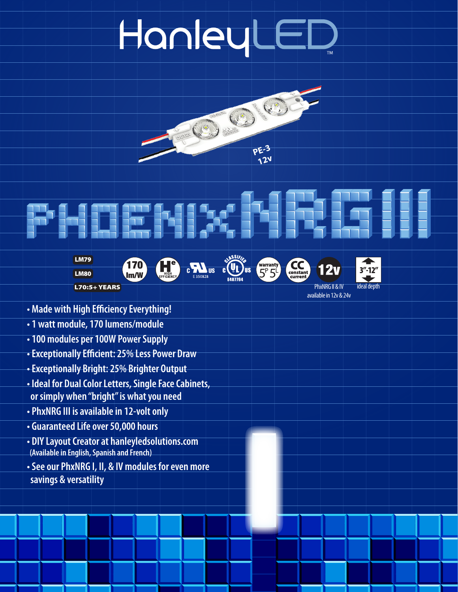# HanleyLED















PhxNRG II & IV available in 12v & 24v

**12v** 

- **Made with High Efficiency Everything!**
- **1 watt module, 170 lumens/module**
- **100 modules per 100W Power Supply**
- **Exceptionally Efficient: 25% Less Power Draw**
- **Exceptionally Bright: 25% Brighter Output**
- **Ideal for Dual Color Letters, Single Face Cabinets, or simply when "bright" is what you need**
- **PhxNRG III is available in 12-volt only**
- **Guaranteed Life over 50,000 hours**
- **DIY Layout Creator at hanleyledsolutions.com (Available in English, Spanish and French)**
- **See our PhxNRG I, II, & IV modules for even more savings & versatility**